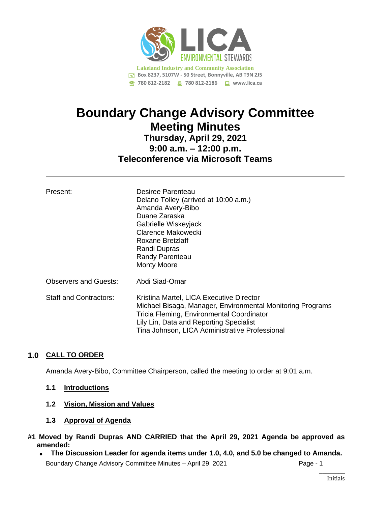

# **Boundary Change Advisory Committee Meeting Minutes Thursday, April 29, 2021 9:00 a.m. – 12:00 p.m. Teleconference via Microsoft Teams**

| Present:                      | Desiree Parenteau<br>Delano Tolley (arrived at 10:00 a.m.)<br>Amanda Avery-Bibo<br>Duane Zaraska<br>Gabrielle Wiskeyjack<br>Clarence Makowecki<br>Roxane Bretzlaff<br>Randi Dupras<br>Randy Parenteau<br><b>Monty Moore</b>                      |
|-------------------------------|--------------------------------------------------------------------------------------------------------------------------------------------------------------------------------------------------------------------------------------------------|
| <b>Observers and Guests:</b>  | Abdi Siad-Omar                                                                                                                                                                                                                                   |
| <b>Staff and Contractors:</b> | Kristina Martel, LICA Executive Director<br>Michael Bisaga, Manager, Environmental Monitoring Programs<br>Tricia Fleming, Environmental Coordinator<br>Lily Lin, Data and Reporting Specialist<br>Tina Johnson, LICA Administrative Professional |

## **1.0 CALL TO ORDER**

Amanda Avery-Bibo, Committee Chairperson, called the meeting to order at 9:01 a.m.

#### **1.1 Introductions**

## **1.2 Vision, Mission and Values**

**1.3 Approval of Agenda**

## **#1 Moved by Randi Dupras AND CARRIED that the April 29, 2021 Agenda be approved as amended:**

Boundary Change Advisory Committee Minutes - April 29, 2021 Page - 1  $\overline{\phantom{a}}$ • **The Discussion Leader for agenda items under 1.0, 4.0, and 5.0 be changed to Amanda.**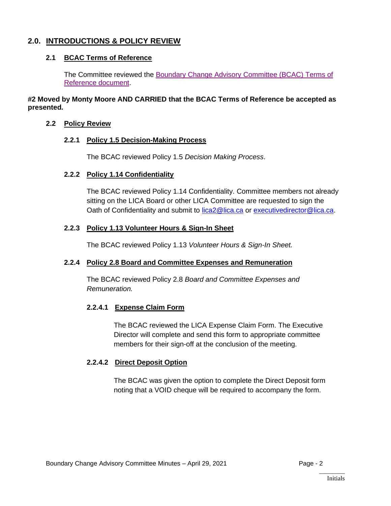# **2.0. INTRODUCTIONS & POLICY REVIEW**

## **2.1 BCAC Terms of Reference**

The Committee reviewed the [Boundary Change Advisory](https://lica2.sharepoint.com/sites/Office/Shared%20Documents/Committees/Boundary%20Change%20Advisory%20Committee/Minutes/Minutes/April%2029,%202021/Documents/2.1%20LICA%20Boundary%20Change%20Advisory%20Committee%20Terms%20of%20Reference%20-%20January%2021,%202021.pdf) Committee (BCAC) Terms of [Reference document.](https://lica2.sharepoint.com/sites/Office/Shared%20Documents/Committees/Boundary%20Change%20Advisory%20Committee/Minutes/Minutes/April%2029,%202021/Documents/2.1%20LICA%20Boundary%20Change%20Advisory%20Committee%20Terms%20of%20Reference%20-%20January%2021,%202021.pdf)

**#2 Moved by Monty Moore AND CARRIED that the BCAC Terms of Reference be accepted as presented***.*

#### **2.2 Policy Review**

#### **2.2.1 Policy 1.5 Decision-Making Process**

The BCAC reviewed Policy 1.5 *Decision Making Process*.

#### **2.2.2 Policy 1.14 Confidentiality**

The BCAC reviewed Policy 1.14 Confidentiality. Committee members not already sitting on the LICA Board or other LICA Committee are requested to sign the Oath of Confidentiality and submit to [lica2@lica.ca](mailto:lica2@lica.ca) or [executivedirector@lica.ca.](mailto:executivedirector@lica.ca)

#### **2.2.3 Policy 1.13 Volunteer Hours & Sign-In Sheet**

The BCAC reviewed Policy 1.13 *Volunteer Hours & Sign-In Sheet.*

#### **2.2.4 Policy 2.8 Board and Committee Expenses and Remuneration**

The BCAC reviewed Policy 2.8 *Board and Committee Expenses and Remuneration.*

#### **2.2.4.1 Expense Claim Form**

The BCAC reviewed the LICA Expense Claim Form. The Executive Director will complete and send this form to appropriate committee members for their sign-off at the conclusion of the meeting.

#### **2.2.4.2 Direct Deposit Option**

The BCAC was given the option to complete the Direct Deposit form noting that a VOID cheque will be required to accompany the form.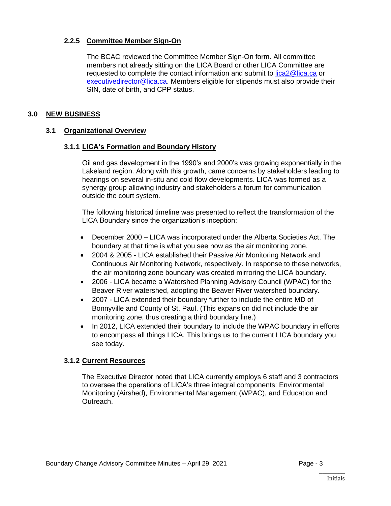### **2.2.5 Committee Member Sign-On**

The BCAC reviewed the Committee Member Sign-On form. All committee members not already sitting on the LICA Board or other LICA Committee are requested to complete the contact information and submit to [lica2@lica.ca](mailto:lica2@lica.ca) or [executivedirector@lica.ca.](mailto:executivedirector@lica.ca) Members eligible for stipends must also provide their SIN, date of birth, and CPP status.

### **3.0 NEW BUSINESS**

## **3.1 Organizational Overview**

#### **3.1.1 LICA's Formation and Boundary History**

Oil and gas development in the 1990's and 2000's was growing exponentially in the Lakeland region. Along with this growth, came concerns by stakeholders leading to hearings on several in-situ and cold flow developments. LICA was formed as a synergy group allowing industry and stakeholders a forum for communication outside the court system.

The following historical timeline was presented to reflect the transformation of the LICA Boundary since the organization's inception:

- December 2000 LICA was incorporated under the Alberta Societies Act. The boundary at that time is what you see now as the air monitoring zone.
- 2004 & 2005 LICA established their Passive Air Monitoring Network and Continuous Air Monitoring Network, respectively. In response to these networks, the air monitoring zone boundary was created mirroring the LICA boundary.
- 2006 LICA became a Watershed Planning Advisory Council (WPAC) for the Beaver River watershed, adopting the Beaver River watershed boundary.
- 2007 LICA extended their boundary further to include the entire MD of Bonnyville and County of St. Paul. (This expansion did not include the air monitoring zone, thus creating a third boundary line.)
- In 2012, LICA extended their boundary to include the WPAC boundary in efforts to encompass all things LICA. This brings us to the current LICA boundary you see today.

#### **3.1.2 Current Resources**

The Executive Director noted that LICA currently employs 6 staff and 3 contractors to oversee the operations of LICA's three integral components: Environmental Monitoring (Airshed), Environmental Management (WPAC), and Education and Outreach.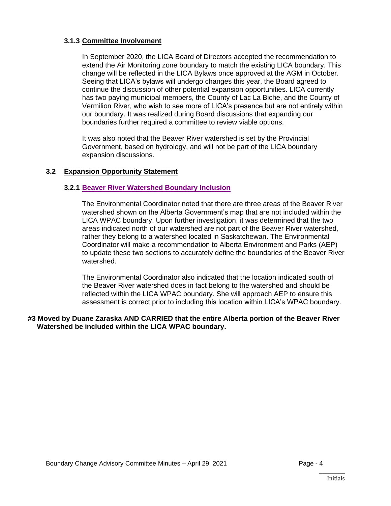#### **3.1.3 Committee Involvement**

In September 2020, the LICA Board of Directors accepted the recommendation to extend the Air Monitoring zone boundary to match the existing LICA boundary. This change will be reflected in the LICA Bylaws once approved at the AGM in October. Seeing that LICA's bylaws will undergo changes this year, the Board agreed to continue the discussion of other potential expansion opportunities. LICA currently has two paying municipal members, the County of Lac La Biche, and the County of Vermilion River, who wish to see more of LICA's presence but are not entirely within our boundary. It was realized during Board discussions that expanding our boundaries further required a committee to review viable options.

It was also noted that the Beaver River watershed is set by the Provincial Government, based on hydrology, and will not be part of the LICA boundary expansion discussions.

## **3.2 Expansion Opportunity Statement**

#### **3.2.1 [Beaver River Watershed Boundary Inclusion](https://lica2.sharepoint.com/sites/Office/Shared%20Documents/Committees/Boundary%20Change%20Advisory%20Committee/Minutes/Minutes/April%2029,%202021/Documents/3.2.1%20Beaver%20River%20Watershed%20Boundary%20Inclusion.pdf)**

The Environmental Coordinator noted that there are three areas of the Beaver River watershed shown on the Alberta Government's map that are not included within the LICA WPAC boundary. Upon further investigation, it was determined that the two areas indicated north of our watershed are not part of the Beaver River watershed, rather they belong to a watershed located in Saskatchewan. The Environmental Coordinator will make a recommendation to Alberta Environment and Parks (AEP) to update these two sections to accurately define the boundaries of the Beaver River watershed.

The Environmental Coordinator also indicated that the location indicated south of the Beaver River watershed does in fact belong to the watershed and should be reflected within the LICA WPAC boundary. She will approach AEP to ensure this assessment is correct prior to including this location within LICA's WPAC boundary.

#### **#3 Moved by Duane Zaraska AND CARRIED that the entire Alberta portion of the Beaver River Watershed be included within the LICA WPAC boundary.**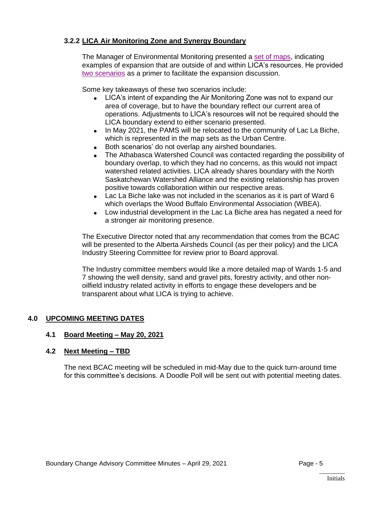## **3.2.2 LICA Air Monitoring Zone and Synergy Boundary**

The Manager of Environmental Monitoring presented a [set of maps,](https://lica2.sharepoint.com/sites/Office/Shared%20Documents/Committees/Boundary%20Change%20Advisory%20Committee/Minutes/Minutes/April%2029,%202021/Documents/BCAC%20Maps%20Presentation%20-%20April%2029,%202021%20Meeting.pdf) indicating examples of expansion that are outside of and within LICA's resources. He provided [two scenarios](https://lica2.sharepoint.com/sites/Office/Shared%20Documents/Committees/Boundary%20Change%20Advisory%20Committee/Minutes/Minutes/April%2029,%202021/Documents/3.2.2%20LICA%20Air%20Monitoring%20Zone%20and%20Synergy%20Boundary.pdf) as a primer to facilitate the expansion discussion.

Some key takeaways of these two scenarios include:

- LICA's intent of expanding the Air Monitoring Zone was not to expand our area of coverage, but to have the boundary reflect our current area of operations. Adjustments to LICA's resources will not be required should the LICA boundary extend to either scenario presented.
- In May 2021, the PAMS will be relocated to the community of Lac La Biche, which is represented in the map sets as the Urban Centre.
- Both scenarios' do not overlap any airshed boundaries.
- The Athabasca Watershed Council was contacted regarding the possibility of boundary overlap, to which they had no concerns, as this would not impact watershed related activities. LICA already shares boundary with the North Saskatchewan Watershed Alliance and the existing relationship has proven positive towards collaboration within our respective areas.
- Lac La Biche lake was not included in the scenarios as it is part of Ward 6 which overlaps the Wood Buffalo Environmental Association (WBEA).
- Low industrial development in the Lac La Biche area has negated a need for a stronger air monitoring presence.

The Executive Director noted that any recommendation that comes from the BCAC will be presented to the Alberta Airsheds Council (as per their policy) and the LICA Industry Steering Committee for review prior to Board approval.

The Industry committee members would like a more detailed map of Wards 1-5 and 7 showing the well density, sand and gravel pits, forestry activity, and other nonoilfield industry related activity in efforts to engage these developers and be transparent about what LICA is trying to achieve.

## **4.0 UPCOMING MEETING DATES**

#### **4.1 Board Meeting – May 20, 2021**

#### **4.2 Next Meeting – TBD**

The next BCAC meeting will be scheduled in mid-May due to the quick turn-around time for this committee's decisions. A Doodle Poll will be sent out with potential meeting dates.